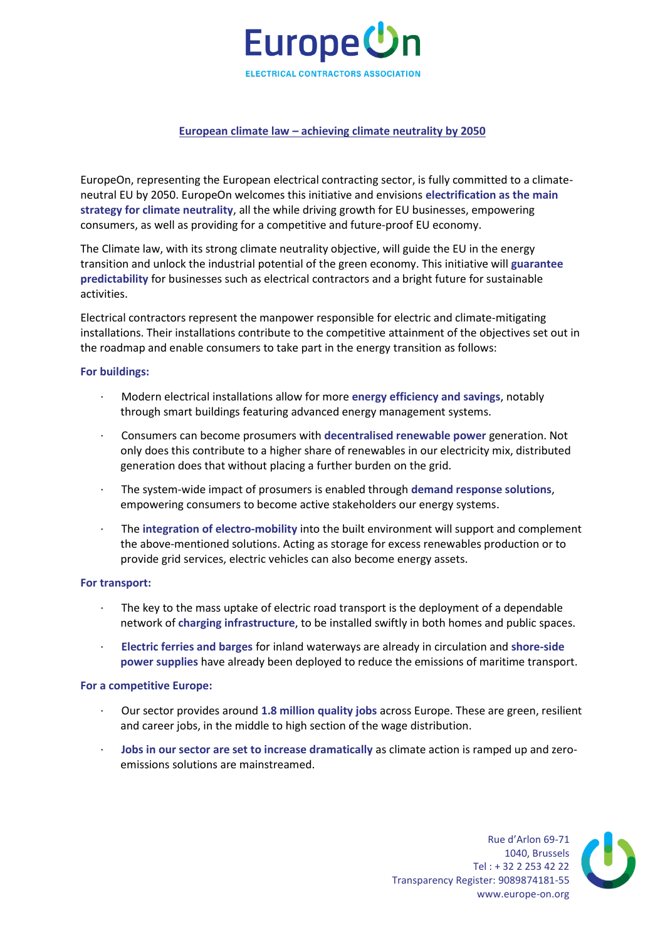

## **European climate law – achieving climate neutrality by 2050**

EuropeOn, representing the European electrical contracting sector, is fully committed to a climateneutral EU by 2050. EuropeOn welcomes this initiative and envisions **electrification as the main strategy for climate neutrality**, all the while driving growth for EU businesses, empowering consumers, as well as providing for a competitive and future-proof EU economy.

The Climate law, with its strong climate neutrality objective, will guide the EU in the energy transition and unlock the industrial potential of the green economy. This initiative will **guarantee predictability** for businesses such as electrical contractors and a bright future for sustainable activities.

Electrical contractors represent the manpower responsible for electric and climate-mitigating installations. Their installations contribute to the competitive attainment of the objectives set out in the roadmap and enable consumers to take part in the energy transition as follows:

### **For buildings:**

- · Modern electrical installations allow for more **energy efficiency and savings**, notably through smart buildings featuring advanced energy management systems.
- · Consumers can become prosumers with **decentralised renewable power** generation. Not only does this contribute to a higher share of renewables in our electricity mix, distributed generation does that without placing a further burden on the grid.
- · The system-wide impact of prosumers is enabled through **demand response solutions**, empowering consumers to become active stakeholders our energy systems.
- · The **integration of electro-mobility** into the built environment will support and complement the above-mentioned solutions. Acting as storage for excess renewables production or to provide grid services, electric vehicles can also become energy assets.

#### **For transport:**

- The key to the mass uptake of electric road transport is the deployment of a dependable network of **charging infrastructure**, to be installed swiftly in both homes and public spaces.
- · **Electric ferries and barges** for inland waterways are already in circulation and **shore-side power supplies** have already been deployed to reduce the emissions of maritime transport.

#### **For a competitive Europe:**

- · Our sector provides around **1.8 million quality jobs** across Europe. These are green, resilient and career jobs, in the middle to high section of the wage distribution.
- · **Jobs in our sector are set to increase dramatically** as climate action is ramped up and zeroemissions solutions are mainstreamed.

Rue d'Arlon 69-71 1040, Brussels Tel : + 32 2 253 42 22 Transparency Register: 9089874181-55 www.europe-on.org